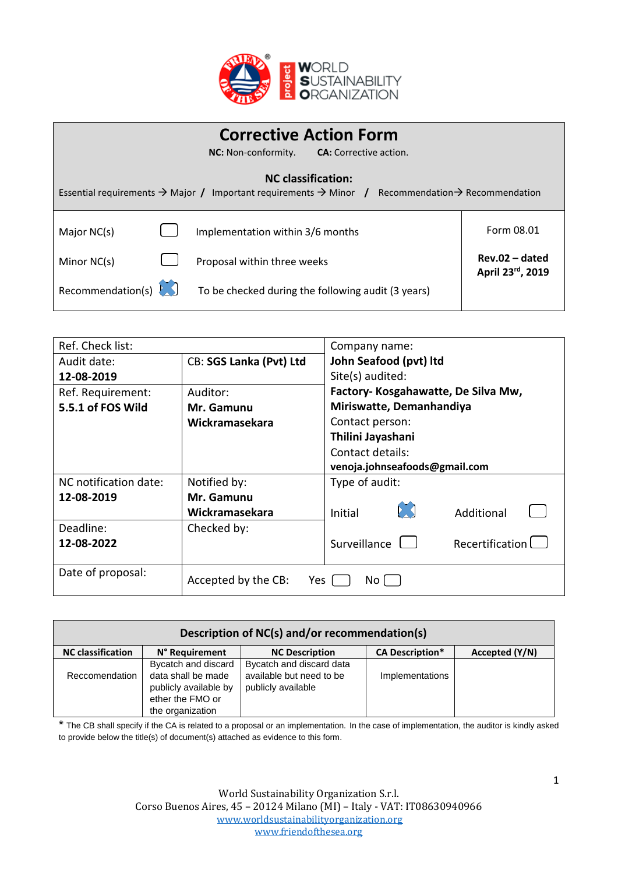

|                                                                                                                                                                       |  | <b>Corrective Action Form</b><br><b>NC:</b> Non-conformity.<br><b>CA:</b> Corrective action. |                                      |
|-----------------------------------------------------------------------------------------------------------------------------------------------------------------------|--|----------------------------------------------------------------------------------------------|--------------------------------------|
| <b>NC</b> classification:<br>Essential requirements $\rightarrow$ Major / Important requirements $\rightarrow$ Minor /<br>Recommendation $\rightarrow$ Recommendation |  |                                                                                              |                                      |
| Major NC(s)                                                                                                                                                           |  | Implementation within 3/6 months                                                             | Form 08.01                           |
| Minor NC(s)                                                                                                                                                           |  | Proposal within three weeks                                                                  | $Rev.02 - dated$<br>April 23rd, 2019 |
| Recommendation(s)                                                                                                                                                     |  | To be checked during the following audit (3 years)                                           |                                      |

| Ref. Check list:      |                            | Company name:                          |
|-----------------------|----------------------------|----------------------------------------|
| Audit date:           | CB: SGS Lanka (Pvt) Ltd    | John Seafood (pvt) Itd                 |
| 12-08-2019            |                            | Site(s) audited:                       |
| Ref. Requirement:     | Auditor:                   | Factory- Kosgahawatte, De Silva Mw,    |
| 5.5.1 of FOS Wild     | Mr. Gamunu                 | Miriswatte, Demanhandiya               |
|                       | Wickramasekara             | Contact person:                        |
|                       |                            | Thilini Jayashani                      |
|                       |                            | Contact details:                       |
|                       |                            | venoja.johnseafoods@gmail.com          |
| NC notification date: | Notified by:               | Type of audit:                         |
| 12-08-2019            | Mr. Gamunu                 |                                        |
|                       | Wickramasekara             | $\mathcal{L}$<br>Initial<br>Additional |
| Deadline:             | Checked by:                |                                        |
| 12-08-2022            |                            | Recertification<br>Surveillance L      |
|                       |                            |                                        |
| Date of proposal:     | Accepted by the CB:<br>Yes | No l                                   |

| Description of NC(s) and/or recommendation(s) |                       |                          |                        |                |  |
|-----------------------------------------------|-----------------------|--------------------------|------------------------|----------------|--|
| <b>NC</b> classification                      | N° Requirement        | <b>NC Description</b>    | <b>CA Description*</b> | Accepted (Y/N) |  |
|                                               | Bycatch and discard   | Bycatch and discard data |                        |                |  |
| Reccomendation                                | data shall be made    | available but need to be | Implementations        |                |  |
|                                               | publicly available by | publicly available       |                        |                |  |
|                                               | ether the FMO or      |                          |                        |                |  |
|                                               | the organization      |                          |                        |                |  |

\* The CB shall specify if the CA is related to a proposal or an implementation. In the case of implementation, the auditor is kindly asked to provide below the title(s) of document(s) attached as evidence to this form.